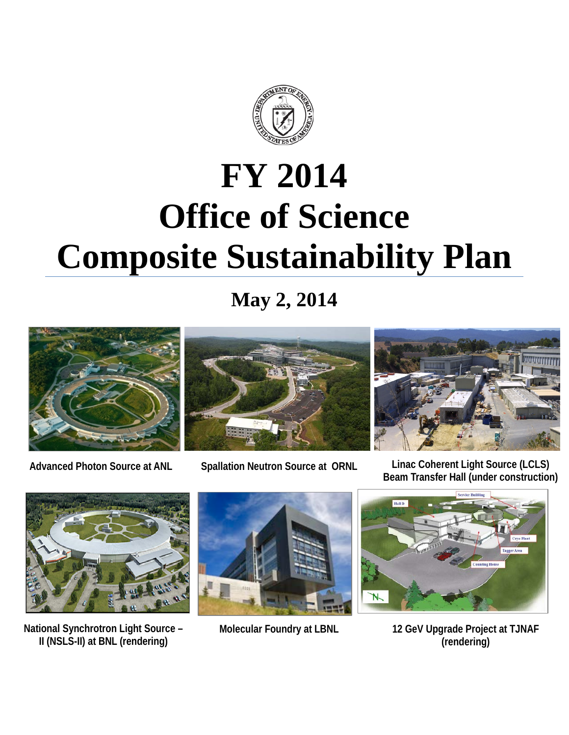

# **FY 2014 Office of Science Composite Sustainability Plan**

**May 2, 2014**



**Advanced Photon Source at ANL**





**National Synchrotron Light Source – II (NSLS-II) at BNL (rendering)**





**Molecular Foundry at LBNL 12 GeV Upgrade Project at TJNAF (rendering)**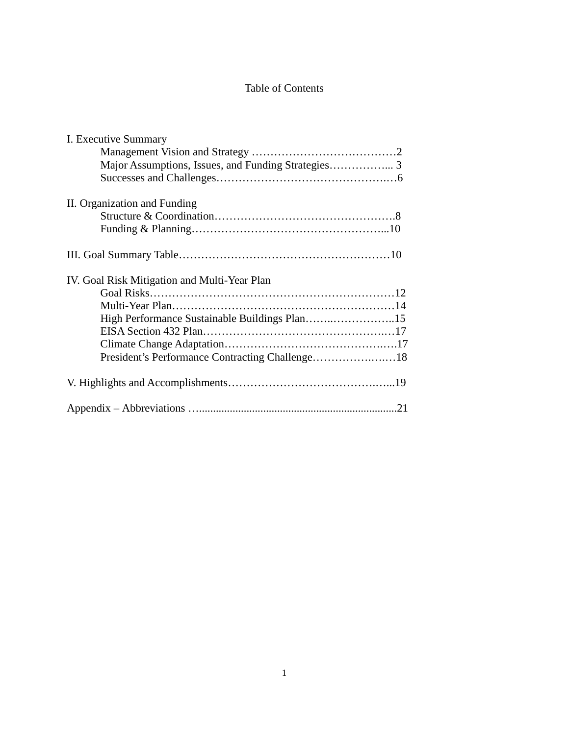# Table of Contents

| I. Executive Summary                         |  |
|----------------------------------------------|--|
|                                              |  |
|                                              |  |
|                                              |  |
| II. Organization and Funding                 |  |
|                                              |  |
|                                              |  |
|                                              |  |
| IV. Goal Risk Mitigation and Multi-Year Plan |  |
|                                              |  |
|                                              |  |
|                                              |  |
|                                              |  |
|                                              |  |
|                                              |  |
|                                              |  |
|                                              |  |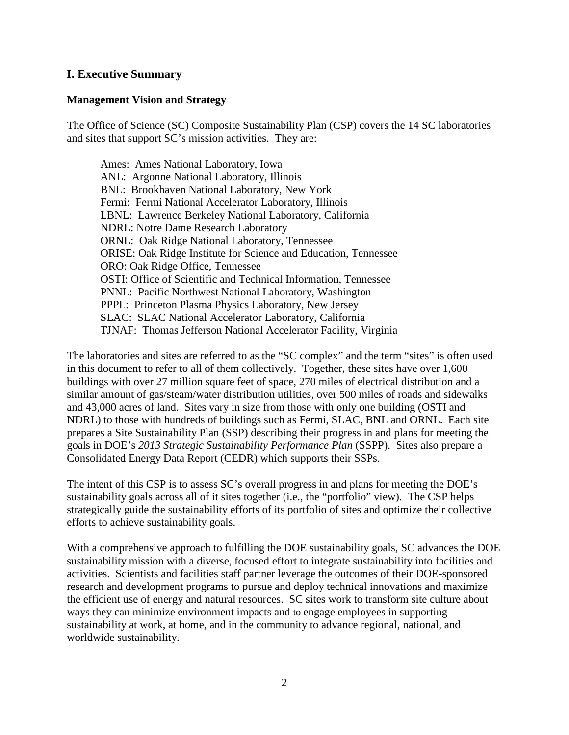# **I. Executive Summary**

#### **Management Vision and Strategy**

The Office of Science (SC) Composite Sustainability Plan (CSP) covers the 14 SC laboratories and sites that support SC's mission activities. They are:

Ames: Ames National Laboratory, Iowa ANL: Argonne National Laboratory, Illinois BNL: Brookhaven National Laboratory, New York Fermi: Fermi National Accelerator Laboratory, Illinois LBNL: Lawrence Berkeley National Laboratory, California NDRL: Notre Dame Research Laboratory ORNL: Oak Ridge National Laboratory, Tennessee ORISE: Oak Ridge Institute for Science and Education, Tennessee ORO: Oak Ridge Office, Tennessee OSTI: Office of Scientific and Technical Information, Tennessee PNNL: Pacific Northwest National Laboratory, Washington PPPL: Princeton Plasma Physics Laboratory, New Jersey SLAC: SLAC National Accelerator Laboratory, California TJNAF: Thomas Jefferson National Accelerator Facility, Virginia

The laboratories and sites are referred to as the "SC complex" and the term "sites" is often used in this document to refer to all of them collectively. Together, these sites have over 1,600 buildings with over 27 million square feet of space, 270 miles of electrical distribution and a similar amount of gas/steam/water distribution utilities, over 500 miles of roads and sidewalks and 43,000 acres of land. Sites vary in size from those with only one building (OSTI and NDRL) to those with hundreds of buildings such as Fermi, SLAC, BNL and ORNL. Each site prepares a Site Sustainability Plan (SSP) describing their progress in and plans for meeting the goals in DOE's *2013 Strategic Sustainability Performance Plan* (SSPP). Sites also prepare a Consolidated Energy Data Report (CEDR) which supports their SSPs.

The intent of this CSP is to assess SC's overall progress in and plans for meeting the DOE's sustainability goals across all of it sites together (i.e., the "portfolio" view). The CSP helps strategically guide the sustainability efforts of its portfolio of sites and optimize their collective efforts to achieve sustainability goals.

With a comprehensive approach to fulfilling the DOE sustainability goals, SC advances the DOE sustainability mission with a diverse, focused effort to integrate sustainability into facilities and activities. Scientists and facilities staff partner leverage the outcomes of their DOE-sponsored research and development programs to pursue and deploy technical innovations and maximize the efficient use of energy and natural resources. SC sites work to transform site culture about ways they can minimize environment impacts and to engage employees in supporting sustainability at work, at home, and in the community to advance regional, national, and worldwide sustainability.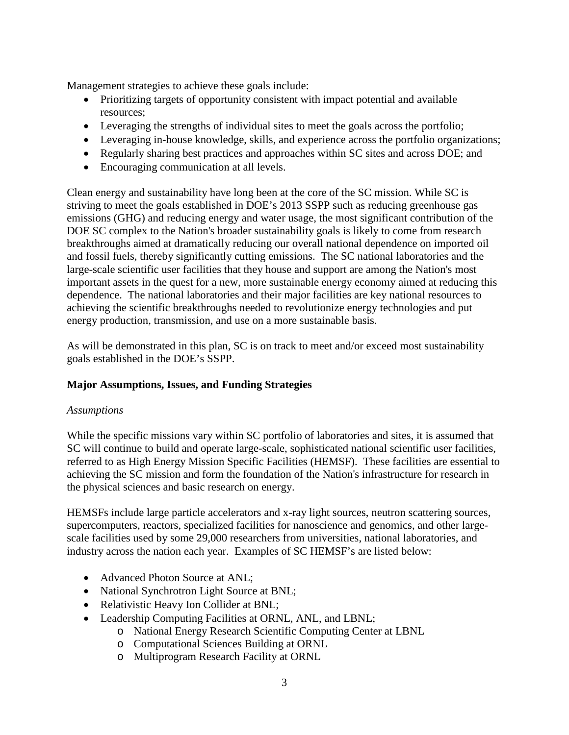Management strategies to achieve these goals include:

- Prioritizing targets of opportunity consistent with impact potential and available resources;
- Leveraging the strengths of individual sites to meet the goals across the portfolio;
- Leveraging in-house knowledge, skills, and experience across the portfolio organizations;
- Regularly sharing best practices and approaches within SC sites and across DOE; and
- Encouraging communication at all levels.

Clean energy and sustainability have long been at the core of the SC mission. While SC is striving to meet the goals established in DOE's 2013 SSPP such as reducing greenhouse gas emissions (GHG) and reducing energy and water usage, the most significant contribution of the DOE SC complex to the Nation's broader sustainability goals is likely to come from research breakthroughs aimed at dramatically reducing our overall national dependence on imported oil and fossil fuels, thereby significantly cutting emissions. The SC national laboratories and the large-scale scientific user facilities that they house and support are among the Nation's most important assets in the quest for a new, more sustainable energy economy aimed at reducing this dependence. The national laboratories and their major facilities are key national resources to achieving the scientific breakthroughs needed to revolutionize energy technologies and put energy production, transmission, and use on a more sustainable basis.

As will be demonstrated in this plan, SC is on track to meet and/or exceed most sustainability goals established in the DOE's SSPP.

# **Major Assumptions, Issues, and Funding Strategies**

# *Assumptions*

While the specific missions vary within SC portfolio of laboratories and sites, it is assumed that SC will continue to build and operate large-scale, sophisticated national scientific user facilities, referred to as High Energy Mission Specific Facilities (HEMSF). These facilities are essential to achieving the SC mission and form the foundation of the Nation's infrastructure for research in the physical sciences and basic research on energy.

HEMSFs include large particle accelerators and x-ray light sources, neutron scattering sources, supercomputers, reactors, specialized facilities for nanoscience and genomics, and other largescale facilities used by some 29,000 researchers from universities, national laboratories, and industry across the nation each year. Examples of SC HEMSF's are listed below:

- Advanced Photon Source at ANL;
- National Synchrotron Light Source at BNL;
- Relativistic Heavy Ion Collider at BNL;
- Leadership Computing Facilities at ORNL, ANL, and LBNL;
	- o National Energy Research Scientific Computing Center at LBNL
	- o Computational Sciences Building at ORNL
	- o Multiprogram Research Facility at ORNL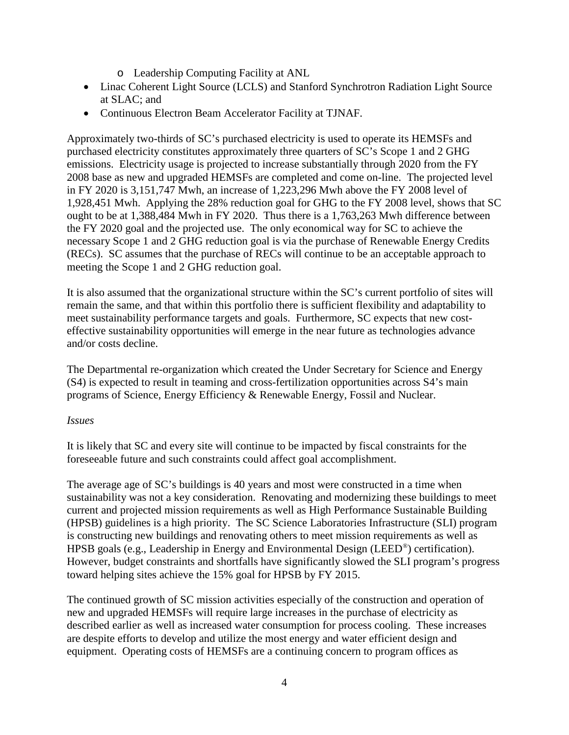- o Leadership Computing Facility at ANL
- Linac Coherent Light Source (LCLS) and Stanford Synchrotron Radiation Light Source at SLAC; and
- Continuous Electron Beam Accelerator Facility at TJNAF.

Approximately two-thirds of SC's purchased electricity is used to operate its HEMSFs and purchased electricity constitutes approximately three quarters of SC's Scope 1 and 2 GHG emissions. Electricity usage is projected to increase substantially through 2020 from the FY 2008 base as new and upgraded HEMSFs are completed and come on-line. The projected level in FY 2020 is 3,151,747 Mwh, an increase of 1,223,296 Mwh above the FY 2008 level of 1,928,451 Mwh. Applying the 28% reduction goal for GHG to the FY 2008 level, shows that SC ought to be at 1,388,484 Mwh in FY 2020. Thus there is a 1,763,263 Mwh difference between the FY 2020 goal and the projected use. The only economical way for SC to achieve the necessary Scope 1 and 2 GHG reduction goal is via the purchase of Renewable Energy Credits (RECs). SC assumes that the purchase of RECs will continue to be an acceptable approach to meeting the Scope 1 and 2 GHG reduction goal.

It is also assumed that the organizational structure within the SC's current portfolio of sites will remain the same, and that within this portfolio there is sufficient flexibility and adaptability to meet sustainability performance targets and goals. Furthermore, SC expects that new costeffective sustainability opportunities will emerge in the near future as technologies advance and/or costs decline.

The Departmental re-organization which created the Under Secretary for Science and Energy (S4) is expected to result in teaming and cross-fertilization opportunities across S4's main programs of Science, Energy Efficiency & Renewable Energy, Fossil and Nuclear.

# *Issues*

It is likely that SC and every site will continue to be impacted by fiscal constraints for the foreseeable future and such constraints could affect goal accomplishment.

The average age of SC's buildings is 40 years and most were constructed in a time when sustainability was not a key consideration. Renovating and modernizing these buildings to meet current and projected mission requirements as well as High Performance Sustainable Building (HPSB) guidelines is a high priority. The SC Science Laboratories Infrastructure (SLI) program is constructing new buildings and renovating others to meet mission requirements as well as HPSB goals (e.g., Leadership in Energy and Environmental Design (LEED®) certification). However, budget constraints and shortfalls have significantly slowed the SLI program's progress toward helping sites achieve the 15% goal for HPSB by FY 2015.

The continued growth of SC mission activities especially of the construction and operation of new and upgraded HEMSFs will require large increases in the purchase of electricity as described earlier as well as increased water consumption for process cooling. These increases are despite efforts to develop and utilize the most energy and water efficient design and equipment. Operating costs of HEMSFs are a continuing concern to program offices as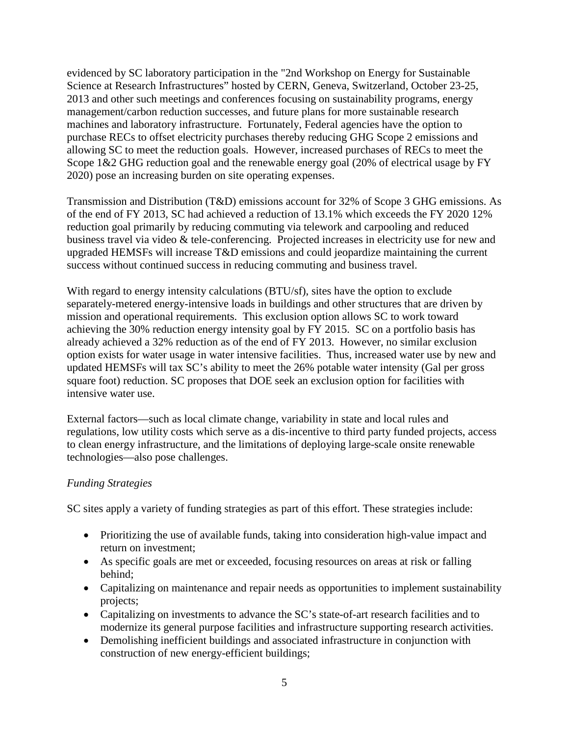evidenced by SC laboratory participation in the "2nd Workshop on Energy for Sustainable Science at Research Infrastructures" hosted by CERN, Geneva, Switzerland, October 23-25, 2013 and other such meetings and conferences focusing on sustainability programs, energy management/carbon reduction successes, and future plans for more sustainable research machines and laboratory infrastructure. Fortunately, Federal agencies have the option to purchase RECs to offset electricity purchases thereby reducing GHG Scope 2 emissions and allowing SC to meet the reduction goals. However, increased purchases of RECs to meet the Scope 1&2 GHG reduction goal and the renewable energy goal (20% of electrical usage by FY 2020) pose an increasing burden on site operating expenses.

Transmission and Distribution (T&D) emissions account for 32% of Scope 3 GHG emissions. As of the end of FY 2013, SC had achieved a reduction of 13.1% which exceeds the FY 2020 12% reduction goal primarily by reducing commuting via telework and carpooling and reduced business travel via video & tele-conferencing. Projected increases in electricity use for new and upgraded HEMSFs will increase T&D emissions and could jeopardize maintaining the current success without continued success in reducing commuting and business travel.

With regard to energy intensity calculations (BTU/sf), sites have the option to exclude separately-metered energy-intensive loads in buildings and other structures that are driven by mission and operational requirements. This exclusion option allows SC to work toward achieving the 30% reduction energy intensity goal by FY 2015. SC on a portfolio basis has already achieved a 32% reduction as of the end of FY 2013. However, no similar exclusion option exists for water usage in water intensive facilities. Thus, increased water use by new and updated HEMSFs will tax SC's ability to meet the 26% potable water intensity (Gal per gross square foot) reduction. SC proposes that DOE seek an exclusion option for facilities with intensive water use.

External factors—such as local climate change, variability in state and local rules and regulations, low utility costs which serve as a dis-incentive to third party funded projects, access to clean energy infrastructure, and the limitations of deploying large-scale onsite renewable technologies—also pose challenges.

# *Funding Strategies*

SC sites apply a variety of funding strategies as part of this effort. These strategies include:

- Prioritizing the use of available funds, taking into consideration high-value impact and return on investment;
- As specific goals are met or exceeded, focusing resources on areas at risk or falling behind;
- Capitalizing on maintenance and repair needs as opportunities to implement sustainability projects;
- Capitalizing on investments to advance the SC's state-of-art research facilities and to modernize its general purpose facilities and infrastructure supporting research activities.
- Demolishing inefficient buildings and associated infrastructure in conjunction with construction of new energy-efficient buildings;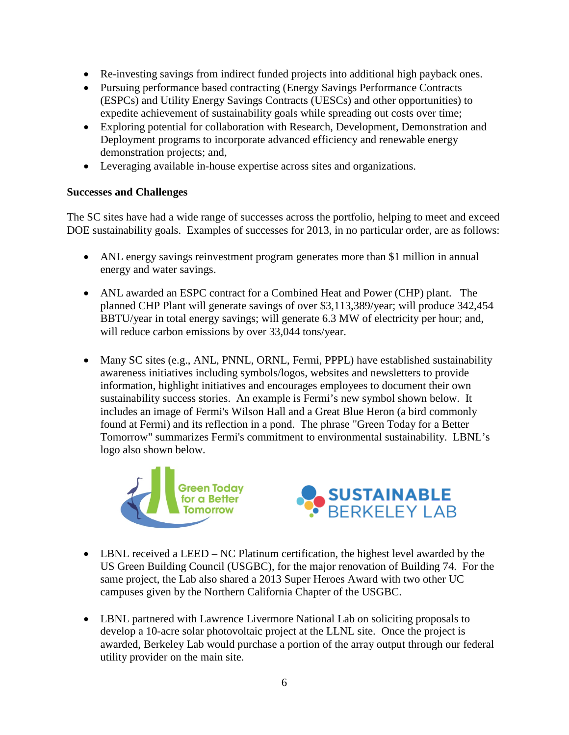- Re-investing savings from indirect funded projects into additional high payback ones.
- Pursuing performance based contracting (Energy Savings Performance Contracts (ESPCs) and Utility Energy Savings Contracts (UESCs) and other opportunities) to expedite achievement of sustainability goals while spreading out costs over time;
- Exploring potential for collaboration with Research, Development, Demonstration and Deployment programs to incorporate advanced efficiency and renewable energy demonstration projects; and,
- Leveraging available in-house expertise across sites and organizations.

# **Successes and Challenges**

The SC sites have had a wide range of successes across the portfolio, helping to meet and exceed DOE sustainability goals. Examples of successes for 2013, in no particular order, are as follows:

- ANL energy savings reinvestment program generates more than \$1 million in annual energy and water savings.
- ANL awarded an ESPC contract for a Combined Heat and Power (CHP) plant. The planned CHP Plant will generate savings of over \$3,113,389/year; will produce 342,454 BBTU/year in total energy savings; will generate 6.3 MW of electricity per hour; and, will reduce carbon emissions by over 33,044 tons/year.
- Many SC sites (e.g., ANL, PNNL, ORNL, Fermi, PPPL) have established sustainability awareness initiatives including symbols/logos, websites and newsletters to provide information, highlight initiatives and encourages employees to document their own sustainability success stories. An example is Fermi's new symbol shown below. It includes an image of Fermi's Wilson Hall and a Great Blue Heron (a bird commonly found at Fermi) and its reflection in a pond. The phrase "Green Today for a Better Tomorrow" summarizes Fermi's commitment to environmental sustainability. LBNL's logo also shown below.





- LBNL received a LEED NC Platinum certification, the highest level awarded by the US Green Building Council (USGBC), for the major renovation of Building 74. For the same project, the Lab also shared a 2013 Super Heroes Award with two other UC campuses given by the Northern California Chapter of the USGBC.
- LBNL partnered with Lawrence Livermore National Lab on soliciting proposals to develop a 10-acre solar photovoltaic project at the LLNL site. Once the project is awarded, Berkeley Lab would purchase a portion of the array output through our federal utility provider on the main site.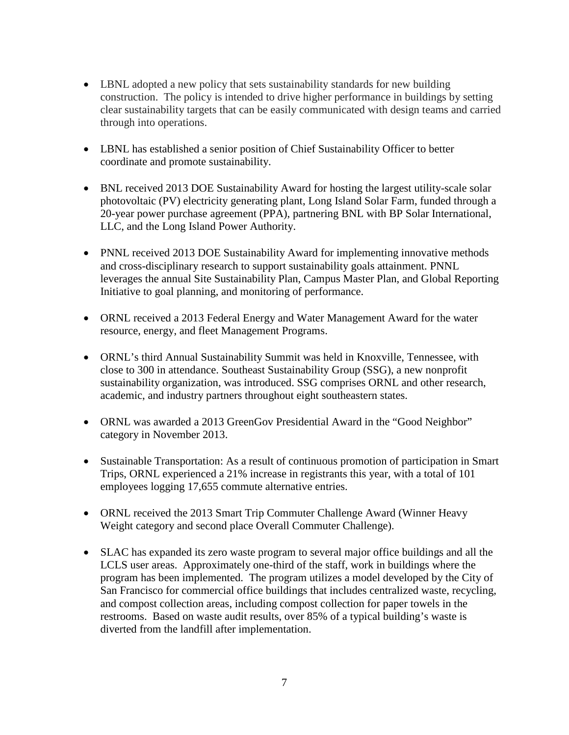- LBNL adopted a new policy that sets sustainability standards for new building construction. The policy is intended to drive higher performance in buildings by setting clear sustainability targets that can be easily communicated with design teams and carried through into operations.
- LBNL has established a senior position of Chief Sustainability Officer to better coordinate and promote sustainability.
- BNL received 2013 DOE Sustainability Award for hosting the largest utility-scale solar photovoltaic (PV) electricity generating plant, Long Island Solar Farm, funded through a 20-year power purchase agreement (PPA), partnering BNL with BP Solar International, LLC, and the Long Island Power Authority.
- PNNL received 2013 DOE Sustainability Award for implementing innovative methods and cross-disciplinary research to support sustainability goals attainment. PNNL leverages the annual Site Sustainability Plan, Campus Master Plan, and Global Reporting Initiative to goal planning, and monitoring of performance.
- ORNL received a 2013 Federal Energy and Water Management Award for the water resource, energy, and fleet Management Programs.
- ORNL's third Annual Sustainability Summit was held in Knoxville, Tennessee, with close to 300 in attendance. Southeast Sustainability Group (SSG), a new nonprofit sustainability organization, was introduced. SSG comprises ORNL and other research, academic, and industry partners throughout eight southeastern states.
- ORNL was awarded a 2013 GreenGov Presidential Award in the "Good Neighbor" category in November 2013.
- Sustainable Transportation: As a result of continuous promotion of participation in Smart Trips, ORNL experienced a 21% increase in registrants this year, with a total of 101 employees logging 17,655 commute alternative entries.
- ORNL received the 2013 Smart Trip Commuter Challenge Award (Winner Heavy) Weight category and second place Overall Commuter Challenge).
- SLAC has expanded its zero waste program to several major office buildings and all the LCLS user areas. Approximately one-third of the staff, work in buildings where the program has been implemented. The program utilizes a model developed by the City of San Francisco for commercial office buildings that includes centralized waste, recycling, and compost collection areas, including compost collection for paper towels in the restrooms. Based on waste audit results, over 85% of a typical building's waste is diverted from the landfill after implementation.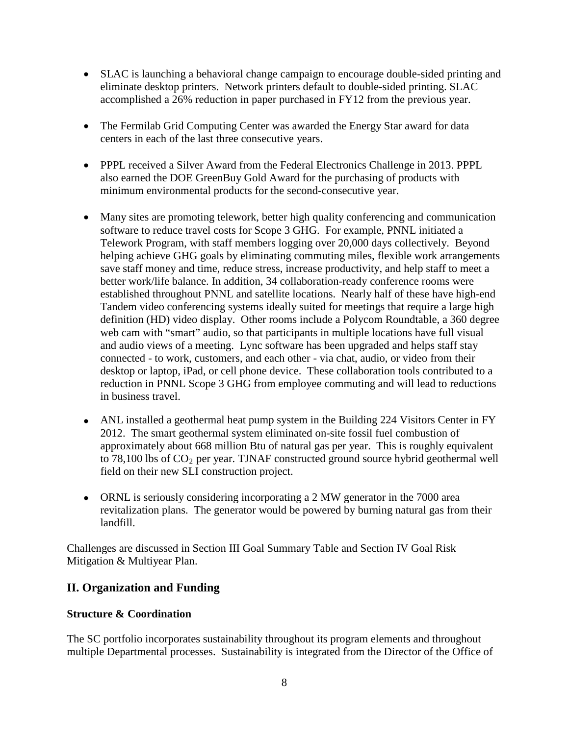- SLAC is launching a behavioral change campaign to encourage double-sided printing and eliminate desktop printers. Network printers default to double-sided printing. SLAC accomplished a 26% reduction in paper purchased in FY12 from the previous year.
- The Fermilab Grid Computing Center was awarded the Energy Star award for data centers in each of the last three consecutive years.
- PPPL received a Silver Award from the Federal Electronics Challenge in 2013. PPPL also earned the DOE GreenBuy Gold Award for the purchasing of products with minimum environmental products for the second-consecutive year.
- Many sites are promoting telework, better high quality conferencing and communication software to reduce travel costs for Scope 3 GHG. For example, PNNL initiated a Telework Program, with staff members logging over 20,000 days collectively. Beyond helping achieve GHG goals by eliminating commuting miles, flexible work arrangements save staff money and time, reduce stress, increase productivity, and help staff to meet a better work/life balance. In addition, 34 collaboration-ready conference rooms were established throughout PNNL and satellite locations. Nearly half of these have high-end Tandem video conferencing systems ideally suited for meetings that require a large high definition (HD) video display. Other rooms include a Polycom Roundtable, a 360 degree web cam with "smart" audio, so that participants in multiple locations have full visual and audio views of a meeting. Lync software has been upgraded and helps staff stay connected - to work, customers, and each other - via chat, audio, or video from their desktop or laptop, iPad, or cell phone device. These collaboration tools contributed to a reduction in PNNL Scope 3 GHG from employee commuting and will lead to reductions in business travel.
- ANL installed a geothermal heat pump system in the Building 224 Visitors Center in FY 2012. The smart geothermal system eliminated on-site fossil fuel combustion of approximately about 668 million Btu of natural gas per year. This is roughly equivalent to  $78,100$  lbs of  $CO<sub>2</sub>$  per year. TJNAF constructed ground source hybrid geothermal well field on their new SLI construction project.
- ORNL is seriously considering incorporating a 2 MW generator in the 7000 area revitalization plans. The generator would be powered by burning natural gas from their landfill.

Challenges are discussed in Section III Goal Summary Table and Section IV Goal Risk Mitigation & Multiyear Plan.

# **II. Organization and Funding**

# **Structure & Coordination**

The SC portfolio incorporates sustainability throughout its program elements and throughout multiple Departmental processes. Sustainability is integrated from the Director of the Office of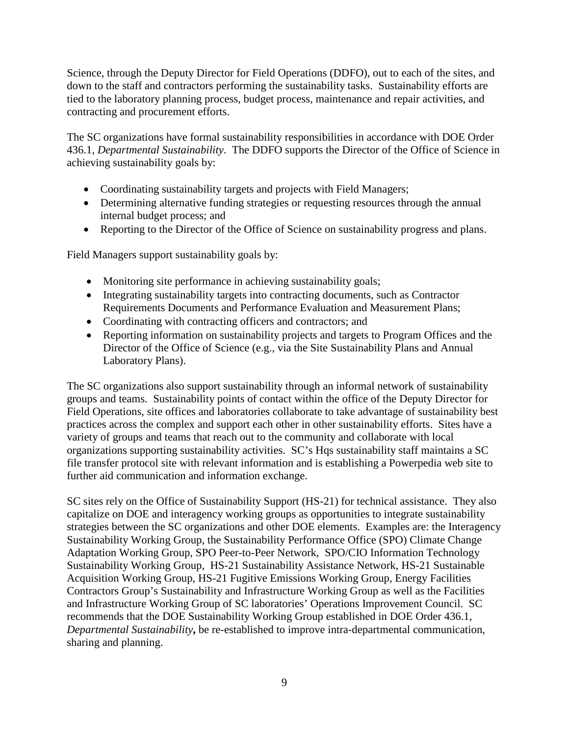Science, through the Deputy Director for Field Operations (DDFO), out to each of the sites, and down to the staff and contractors performing the sustainability tasks. Sustainability efforts are tied to the laboratory planning process, budget process, maintenance and repair activities, and contracting and procurement efforts.

The SC organizations have formal sustainability responsibilities in accordance with DOE Order 436.1, *Departmental Sustainability*. The DDFO supports the Director of the Office of Science in achieving sustainability goals by:

- Coordinating sustainability targets and projects with Field Managers;
- Determining alternative funding strategies or requesting resources through the annual internal budget process; and
- Reporting to the Director of the Office of Science on sustainability progress and plans.

Field Managers support sustainability goals by:

- Monitoring site performance in achieving sustainability goals;
- Integrating sustainability targets into contracting documents, such as Contractor Requirements Documents and Performance Evaluation and Measurement Plans;
- Coordinating with contracting officers and contractors; and
- Reporting information on sustainability projects and targets to Program Offices and the Director of the Office of Science (e.g., via the Site Sustainability Plans and Annual Laboratory Plans).

The SC organizations also support sustainability through an informal network of sustainability groups and teams. Sustainability points of contact within the office of the Deputy Director for Field Operations, site offices and laboratories collaborate to take advantage of sustainability best practices across the complex and support each other in other sustainability efforts. Sites have a variety of groups and teams that reach out to the community and collaborate with local organizations supporting sustainability activities. SC's Hqs sustainability staff maintains a SC file transfer protocol site with relevant information and is establishing a Powerpedia web site to further aid communication and information exchange.

SC sites rely on the Office of Sustainability Support (HS-21) for technical assistance. They also capitalize on DOE and interagency working groups as opportunities to integrate sustainability strategies between the SC organizations and other DOE elements. Examples are: the Interagency Sustainability Working Group, the Sustainability Performance Office (SPO) Climate Change Adaptation Working Group, SPO Peer-to-Peer Network, SPO/CIO Information Technology Sustainability Working Group, HS-21 Sustainability Assistance Network, HS-21 Sustainable Acquisition Working Group, HS-21 Fugitive Emissions Working Group, Energy Facilities Contractors Group's Sustainability and Infrastructure Working Group as well as the Facilities and Infrastructure Working Group of SC laboratories' Operations Improvement Council. SC recommends that the DOE Sustainability Working Group established in DOE Order 436.1, *Departmental Sustainability***,** be re-established to improve intra-departmental communication, sharing and planning.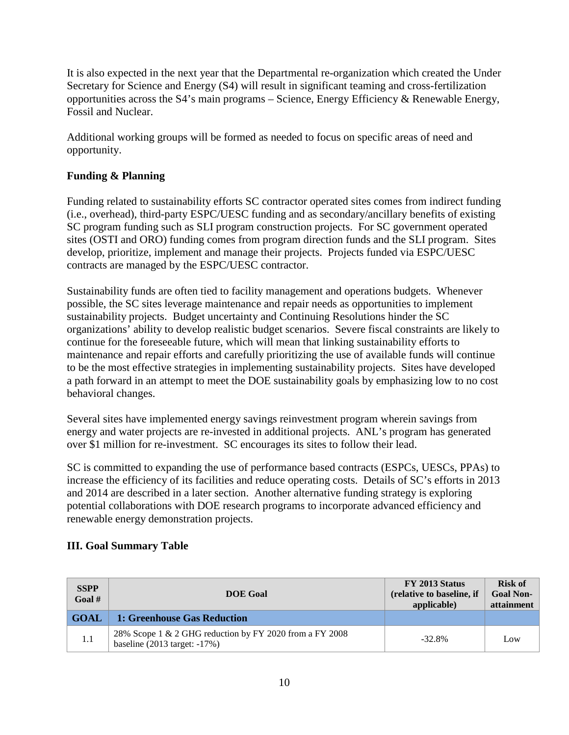It is also expected in the next year that the Departmental re-organization which created the Under Secretary for Science and Energy (S4) will result in significant teaming and cross-fertilization opportunities across the S4's main programs – Science, Energy Efficiency & Renewable Energy, Fossil and Nuclear.

Additional working groups will be formed as needed to focus on specific areas of need and opportunity.

# **Funding & Planning**

Funding related to sustainability efforts SC contractor operated sites comes from indirect funding (i.e., overhead), third-party ESPC/UESC funding and as secondary/ancillary benefits of existing SC program funding such as SLI program construction projects. For SC government operated sites (OSTI and ORO) funding comes from program direction funds and the SLI program. Sites develop, prioritize, implement and manage their projects. Projects funded via ESPC/UESC contracts are managed by the ESPC/UESC contractor.

Sustainability funds are often tied to facility management and operations budgets. Whenever possible, the SC sites leverage maintenance and repair needs as opportunities to implement sustainability projects. Budget uncertainty and Continuing Resolutions hinder the SC organizations' ability to develop realistic budget scenarios. Severe fiscal constraints are likely to continue for the foreseeable future, which will mean that linking sustainability efforts to maintenance and repair efforts and carefully prioritizing the use of available funds will continue to be the most effective strategies in implementing sustainability projects. Sites have developed a path forward in an attempt to meet the DOE sustainability goals by emphasizing low to no cost behavioral changes.

Several sites have implemented energy savings reinvestment program wherein savings from energy and water projects are re-invested in additional projects. ANL's program has generated over \$1 million for re-investment. SC encourages its sites to follow their lead.

SC is committed to expanding the use of performance based contracts (ESPCs, UESCs, PPAs) to increase the efficiency of its facilities and reduce operating costs. Details of SC's efforts in 2013 and 2014 are described in a later section. Another alternative funding strategy is exploring potential collaborations with DOE research programs to incorporate advanced efficiency and renewable energy demonstration projects.

# **III. Goal Summary Table**

| <b>SSPP</b><br>Goal # | <b>DOE</b> Goal                                                                                    | FY 2013 Status<br>(relative to baseline, if<br>applicable) | <b>Risk of</b><br><b>Goal Non-</b><br>attainment |
|-----------------------|----------------------------------------------------------------------------------------------------|------------------------------------------------------------|--------------------------------------------------|
| <b>GOAL</b>           | 1: Greenhouse Gas Reduction                                                                        |                                                            |                                                  |
| 1.1                   | 28% Scope 1 & 2 GHG reduction by FY 2020 from a FY 2008<br>baseline $(2013 \text{ target}: -17\%)$ | $-32.8\%$                                                  | Low                                              |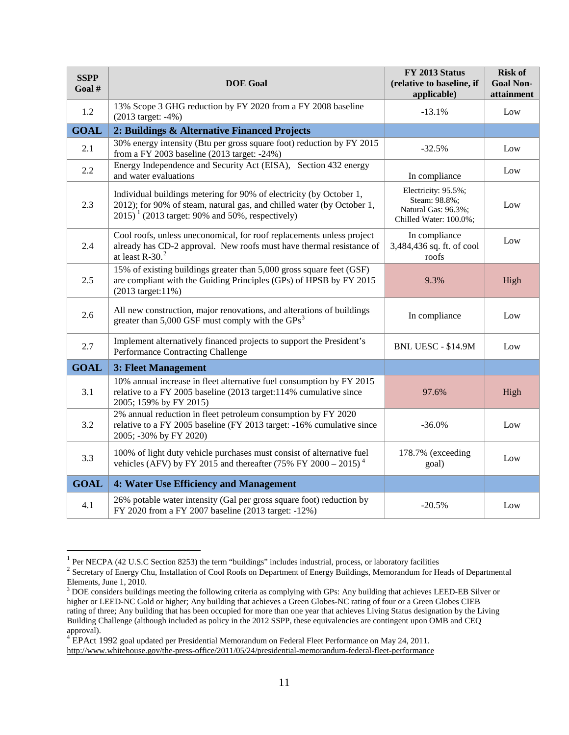| <b>SSPP</b><br>Goal # | <b>DOE</b> Goal                                                                                                                                                                                               | FY 2013 Status<br>(relative to baseline, if<br>applicable)                            | <b>Risk of</b><br><b>Goal Non-</b><br>attainment |
|-----------------------|---------------------------------------------------------------------------------------------------------------------------------------------------------------------------------------------------------------|---------------------------------------------------------------------------------------|--------------------------------------------------|
| 1.2                   | 13% Scope 3 GHG reduction by FY 2020 from a FY 2008 baseline<br>(2013 target: -4%)                                                                                                                            | $-13.1%$                                                                              | Low                                              |
| <b>GOAL</b>           | 2: Buildings & Alternative Financed Projects                                                                                                                                                                  |                                                                                       |                                                  |
| 2.1                   | 30% energy intensity (Btu per gross square foot) reduction by FY 2015<br>from a FY 2003 baseline (2013 target: -24%)                                                                                          | $-32.5%$                                                                              | Low                                              |
| 2.2                   | Energy Independence and Security Act (EISA), Section 432 energy<br>and water evaluations                                                                                                                      | In compliance                                                                         | Low                                              |
| 2.3                   | Individual buildings metering for 90% of electricity (by October 1,<br>2012); for 90% of steam, natural gas, and chilled water (by October 1,<br>$2015$ <sup>1</sup> (2013 target: 90% and 50%, respectively) | Electricity: 95.5%;<br>Steam: 98.8%;<br>Natural Gas: 96.3%;<br>Chilled Water: 100.0%; | Low                                              |
| 2.4                   | Cool roofs, unless uneconomical, for roof replacements unless project<br>already has CD-2 approval. New roofs must have thermal resistance of<br>at least $R-30.2$                                            | In compliance<br>3,484,436 sq. ft. of cool<br>roofs                                   | Low                                              |
| 2.5                   | 15% of existing buildings greater than 5,000 gross square feet (GSF)<br>are compliant with the Guiding Principles (GPs) of HPSB by FY 2015<br>$(2013 \text{ target}: 11\%)$                                   | 9.3%                                                                                  | High                                             |
| 2.6                   | All new construction, major renovations, and alterations of buildings<br>greater than 5,000 GSF must comply with the $GPs3$                                                                                   | In compliance                                                                         | Low                                              |
| 2.7                   | Implement alternatively financed projects to support the President's<br>Performance Contracting Challenge                                                                                                     | BNL UESC - \$14.9M                                                                    | Low                                              |
| <b>GOAL</b>           | 3: Fleet Management                                                                                                                                                                                           |                                                                                       |                                                  |
| 3.1                   | 10% annual increase in fleet alternative fuel consumption by FY 2015<br>relative to a FY 2005 baseline (2013 target:114% cumulative since<br>2005; 159% by FY 2015)                                           | 97.6%                                                                                 | High                                             |
| 3.2                   | 2% annual reduction in fleet petroleum consumption by FY 2020<br>relative to a FY 2005 baseline (FY 2013 target: -16% cumulative since<br>2005; -30% by FY 2020)                                              | $-36.0%$                                                                              | Low                                              |
| 3.3                   | 100% of light duty vehicle purchases must consist of alternative fuel<br>vehicles (AFV) by FY 2015 and thereafter (75% FY 2000 – 2015) <sup>4</sup>                                                           | 178.7% (exceeding<br>goal)                                                            | Low                                              |
| <b>GOAL</b>           | 4: Water Use Efficiency and Management                                                                                                                                                                        |                                                                                       |                                                  |
| 4.1                   | 26% potable water intensity (Gal per gross square foot) reduction by<br>FY 2020 from a FY 2007 baseline (2013 target: -12%)                                                                                   | $-20.5%$                                                                              | Low                                              |

<sup>&</sup>lt;sup>1</sup> Per NECPA (42 U.S.C Section 8253) the term "buildings" includes industrial, process, or laboratory facilities

<span id="page-11-1"></span><span id="page-11-0"></span><sup>&</sup>lt;sup>2</sup> Secretary of Energy Chu, Installation of Cool Roofs on Department of Energy Buildings, Memorandum for Heads of Departmental Elements, June 1, 2010.

<span id="page-11-2"></span><sup>&</sup>lt;sup>3</sup> DOE considers buildings meeting the following criteria as complying with GPs: Any building that achieves LEED-EB Silver or higher or LEED-NC Gold or higher; Any building that achieves a Green Globes-NC rating of four or a Green Globes CIEB rating of three; Any building that has been occupied for more than one year that achieves Living Status designation by the Living Building Challenge (although included as policy in the 2012 SSPP, these equivalencies are contingent upon OMB and CEQ approval). <sup>4</sup> EPAct 1992 goal updated per Presidential Memorandum on Federal Fleet Performance on May 24, 2011.

<span id="page-11-3"></span><http://www.whitehouse.gov/the-press-office/2011/05/24/presidential-memorandum-federal-fleet-performance>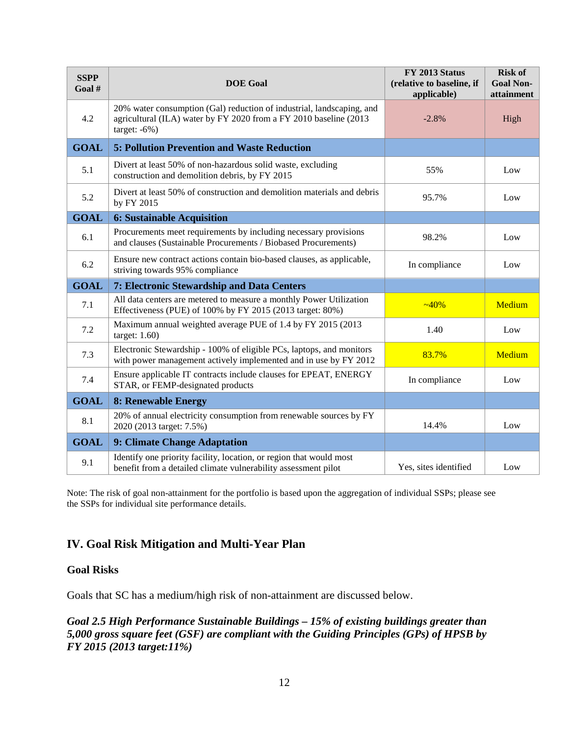| <b>SSPP</b><br>Goal # | <b>DOE</b> Goal                                                                                                                                                | FY 2013 Status<br>(relative to baseline, if<br>applicable) | <b>Risk of</b><br><b>Goal Non-</b><br>attainment |
|-----------------------|----------------------------------------------------------------------------------------------------------------------------------------------------------------|------------------------------------------------------------|--------------------------------------------------|
| 4.2                   | 20% water consumption (Gal) reduction of industrial, landscaping, and<br>agricultural (ILA) water by FY 2020 from a FY 2010 baseline (2013<br>target: $-6\%$ ) | $-2.8%$                                                    | High                                             |
| <b>GOAL</b>           | <b>5: Pollution Prevention and Waste Reduction</b>                                                                                                             |                                                            |                                                  |
| 5.1                   | Divert at least 50% of non-hazardous solid waste, excluding<br>construction and demolition debris, by FY 2015                                                  | 55%                                                        | Low                                              |
| 5.2                   | Divert at least 50% of construction and demolition materials and debris<br>by FY 2015                                                                          | 95.7%                                                      | Low                                              |
| <b>GOAL</b>           | <b>6: Sustainable Acquisition</b>                                                                                                                              |                                                            |                                                  |
| 6.1                   | Procurements meet requirements by including necessary provisions<br>and clauses (Sustainable Procurements / Biobased Procurements)                             | 98.2%                                                      | Low                                              |
| 6.2                   | Ensure new contract actions contain bio-based clauses, as applicable,<br>striving towards 95% compliance                                                       | In compliance                                              | Low                                              |
| <b>GOAL</b>           | 7: Electronic Stewardship and Data Centers                                                                                                                     |                                                            |                                                  |
| 7.1                   | All data centers are metered to measure a monthly Power Utilization<br>Effectiveness (PUE) of 100% by FY 2015 (2013 target: 80%)                               | $-40%$                                                     | Medium                                           |
| 7.2                   | Maximum annual weighted average PUE of 1.4 by FY 2015 (2013<br>target: $1.60$ )                                                                                | 1.40                                                       | Low                                              |
| 7.3                   | Electronic Stewardship - 100% of eligible PCs, laptops, and monitors<br>with power management actively implemented and in use by FY 2012                       | 83.7%                                                      | Medium                                           |
| 7.4                   | Ensure applicable IT contracts include clauses for EPEAT, ENERGY<br>STAR, or FEMP-designated products                                                          | In compliance                                              | Low                                              |
| <b>GOAL</b>           | <b>8: Renewable Energy</b>                                                                                                                                     |                                                            |                                                  |
| 8.1                   | 20% of annual electricity consumption from renewable sources by FY<br>2020 (2013 target: 7.5%)                                                                 | 14.4%                                                      | Low                                              |
| <b>GOAL</b>           | 9: Climate Change Adaptation                                                                                                                                   |                                                            |                                                  |
| 9.1                   | Identify one priority facility, location, or region that would most<br>benefit from a detailed climate vulnerability assessment pilot                          | Yes, sites identified                                      | Low                                              |

Note: The risk of goal non-attainment for the portfolio is based upon the aggregation of individual SSPs; please see the SSPs for individual site performance details.

# **IV. Goal Risk Mitigation and Multi-Year Plan**

#### **Goal Risks**

Goals that SC has a medium/high risk of non-attainment are discussed below.

*Goal 2.5 High Performance Sustainable Buildings – 15% of existing buildings greater than 5,000 gross square feet (GSF) are compliant with the Guiding Principles (GPs) of HPSB by FY 2015 (2013 target:11%)*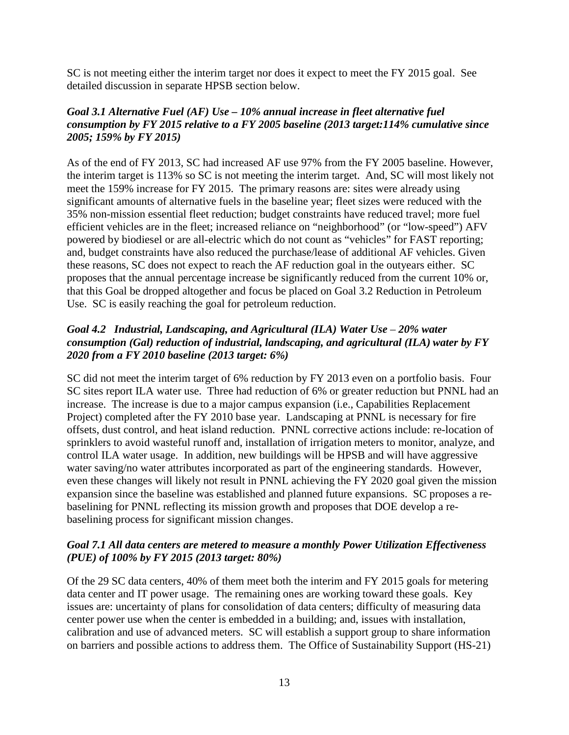SC is not meeting either the interim target nor does it expect to meet the FY 2015 goal. See detailed discussion in separate HPSB section below.

# *Goal 3.1 Alternative Fuel (AF) Use – 10% annual increase in fleet alternative fuel consumption by FY 2015 relative to a FY 2005 baseline (2013 target:114% cumulative since 2005; 159% by FY 2015)*

As of the end of FY 2013, SC had increased AF use 97% from the FY 2005 baseline. However, the interim target is 113% so SC is not meeting the interim target. And, SC will most likely not meet the 159% increase for FY 2015. The primary reasons are: sites were already using significant amounts of alternative fuels in the baseline year; fleet sizes were reduced with the 35% non-mission essential fleet reduction; budget constraints have reduced travel; more fuel efficient vehicles are in the fleet; increased reliance on "neighborhood" (or "low-speed") AFV powered by biodiesel or are all-electric which do not count as "vehicles" for FAST reporting; and, budget constraints have also reduced the purchase/lease of additional AF vehicles. Given these reasons, SC does not expect to reach the AF reduction goal in the outyears either. SC proposes that the annual percentage increase be significantly reduced from the current 10% or, that this Goal be dropped altogether and focus be placed on Goal 3.2 Reduction in Petroleum Use. SC is easily reaching the goal for petroleum reduction.

# *Goal 4.2 Industrial, Landscaping, and Agricultural (ILA) Water Use* – *20% water consumption (Gal) reduction of industrial, landscaping, and agricultural (ILA) water by FY 2020 from a FY 2010 baseline (2013 target: 6%)*

SC did not meet the interim target of 6% reduction by FY 2013 even on a portfolio basis. Four SC sites report ILA water use. Three had reduction of 6% or greater reduction but PNNL had an increase. The increase is due to a major campus expansion (i.e., Capabilities Replacement Project) completed after the FY 2010 base year. Landscaping at PNNL is necessary for fire offsets, dust control, and heat island reduction. PNNL corrective actions include: re-location of sprinklers to avoid wasteful runoff and, installation of irrigation meters to monitor, analyze, and control ILA water usage. In addition, new buildings will be HPSB and will have aggressive water saving/no water attributes incorporated as part of the engineering standards. However, even these changes will likely not result in PNNL achieving the FY 2020 goal given the mission expansion since the baseline was established and planned future expansions. SC proposes a rebaselining for PNNL reflecting its mission growth and proposes that DOE develop a rebaselining process for significant mission changes.

# *Goal 7.1 All data centers are metered to measure a monthly Power Utilization Effectiveness (PUE) of 100% by FY 2015 (2013 target: 80%)*

Of the 29 SC data centers, 40% of them meet both the interim and FY 2015 goals for metering data center and IT power usage. The remaining ones are working toward these goals. Key issues are: uncertainty of plans for consolidation of data centers; difficulty of measuring data center power use when the center is embedded in a building; and, issues with installation, calibration and use of advanced meters. SC will establish a support group to share information on barriers and possible actions to address them. The Office of Sustainability Support (HS-21)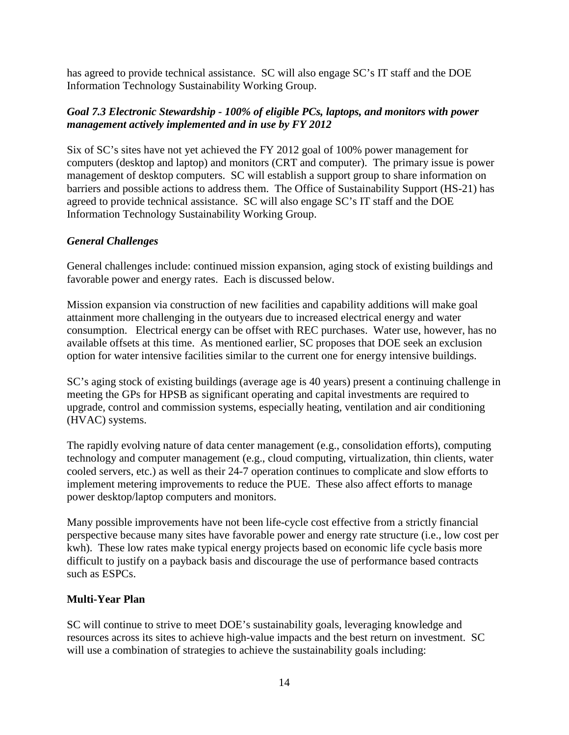has agreed to provide technical assistance. SC will also engage SC's IT staff and the DOE Information Technology Sustainability Working Group.

# *Goal 7.3 Electronic Stewardship - 100% of eligible PCs, laptops, and monitors with power management actively implemented and in use by FY 2012*

Six of SC's sites have not yet achieved the FY 2012 goal of 100% power management for computers (desktop and laptop) and monitors (CRT and computer). The primary issue is power management of desktop computers. SC will establish a support group to share information on barriers and possible actions to address them. The Office of Sustainability Support (HS-21) has agreed to provide technical assistance. SC will also engage SC's IT staff and the DOE Information Technology Sustainability Working Group.

# *General Challenges*

General challenges include: continued mission expansion, aging stock of existing buildings and favorable power and energy rates. Each is discussed below.

Mission expansion via construction of new facilities and capability additions will make goal attainment more challenging in the outyears due to increased electrical energy and water consumption. Electrical energy can be offset with REC purchases. Water use, however, has no available offsets at this time. As mentioned earlier, SC proposes that DOE seek an exclusion option for water intensive facilities similar to the current one for energy intensive buildings.

SC's aging stock of existing buildings (average age is 40 years) present a continuing challenge in meeting the GPs for HPSB as significant operating and capital investments are required to upgrade, control and commission systems, especially heating, ventilation and air conditioning (HVAC) systems.

The rapidly evolving nature of data center management (e.g., consolidation efforts), computing technology and computer management (e.g., cloud computing, virtualization, thin clients, water cooled servers, etc.) as well as their 24-7 operation continues to complicate and slow efforts to implement metering improvements to reduce the PUE. These also affect efforts to manage power desktop/laptop computers and monitors.

Many possible improvements have not been life-cycle cost effective from a strictly financial perspective because many sites have favorable power and energy rate structure (i.e., low cost per kwh). These low rates make typical energy projects based on economic life cycle basis more difficult to justify on a payback basis and discourage the use of performance based contracts such as ESPCs.

# **Multi-Year Plan**

SC will continue to strive to meet DOE's sustainability goals, leveraging knowledge and resources across its sites to achieve high-value impacts and the best return on investment. SC will use a combination of strategies to achieve the sustainability goals including: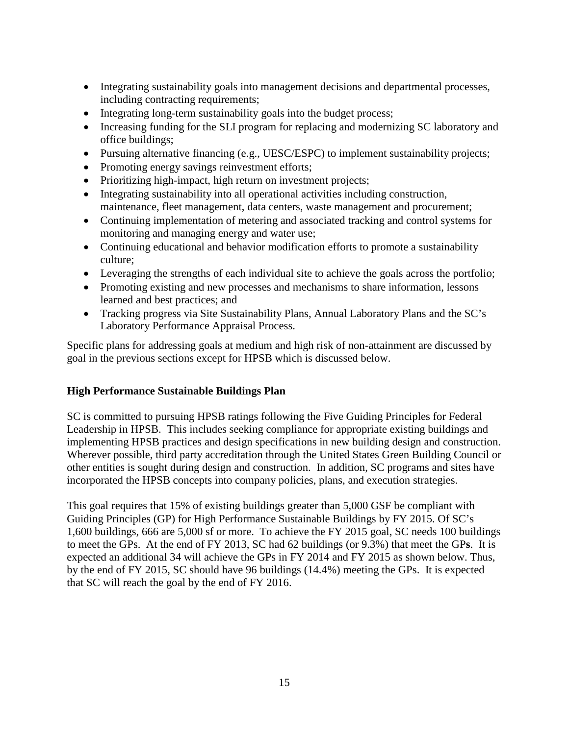- Integrating sustainability goals into management decisions and departmental processes, including contracting requirements;
- Integrating long-term sustainability goals into the budget process;
- Increasing funding for the SLI program for replacing and modernizing SC laboratory and office buildings;
- Pursuing alternative financing (e.g., UESC/ESPC) to implement sustainability projects;
- Promoting energy savings reinvestment efforts;
- Prioritizing high-impact, high return on investment projects;
- Integrating sustainability into all operational activities including construction, maintenance, fleet management, data centers, waste management and procurement;
- Continuing implementation of metering and associated tracking and control systems for monitoring and managing energy and water use;
- Continuing educational and behavior modification efforts to promote a sustainability culture;
- Leveraging the strengths of each individual site to achieve the goals across the portfolio;
- Promoting existing and new processes and mechanisms to share information, lessons learned and best practices; and
- Tracking progress via Site Sustainability Plans, Annual Laboratory Plans and the SC's Laboratory Performance Appraisal Process.

Specific plans for addressing goals at medium and high risk of non-attainment are discussed by goal in the previous sections except for HPSB which is discussed below.

# **High Performance Sustainable Buildings Plan**

SC is committed to pursuing HPSB ratings following the Five Guiding Principles for Federal Leadership in HPSB. This includes seeking compliance for appropriate existing buildings and implementing HPSB practices and design specifications in new building design and construction. Wherever possible, third party accreditation through the United States Green Building Council or other entities is sought during design and construction. In addition, SC programs and sites have incorporated the HPSB concepts into company policies, plans, and execution strategies.

This goal requires that 15% of existing buildings greater than 5,000 GSF be compliant with Guiding Principles (GP) for High Performance Sustainable Buildings by FY 2015. Of SC's 1,600 buildings, 666 are 5,000 sf or more. To achieve the FY 2015 goal, SC needs 100 buildings to meet the GPs. At the end of FY 2013, SC had 62 buildings (or 9.3%) that meet the GP**s**. It is expected an additional 34 will achieve the GPs in FY 2014 and FY 2015 as shown below. Thus, by the end of FY 2015, SC should have 96 buildings (14.4%) meeting the GPs. It is expected that SC will reach the goal by the end of FY 2016.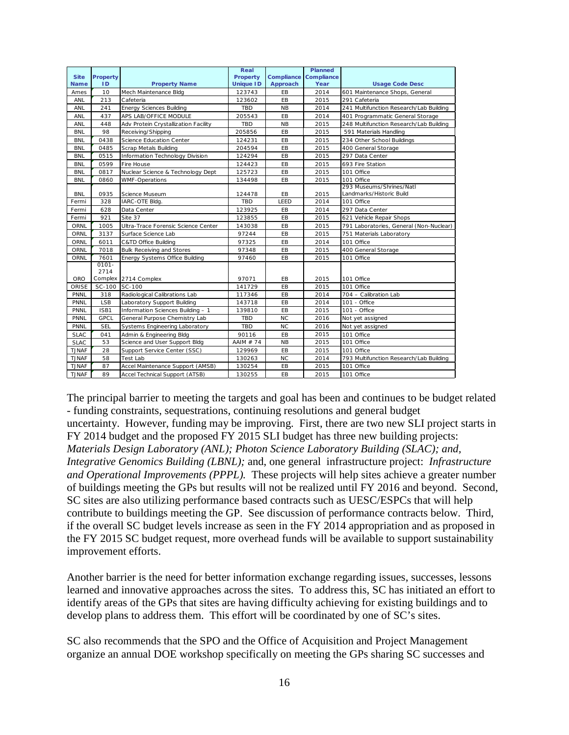|              |                 |                                       | Real             |            | Planned    |                                         |
|--------------|-----------------|---------------------------------------|------------------|------------|------------|-----------------------------------------|
| <b>Site</b>  | <b>Property</b> |                                       | Property         | Compliance | Compliance |                                         |
| <b>Name</b>  | ID              | <b>Property Name</b>                  | <b>Unique ID</b> | Approach   | Year       | <b>Usage Code Desc</b>                  |
| Ames         | 10              | Mech Maintenance Bldg                 | 123743           | EB         | 2014       | 601 Maintenance Shops, General          |
| ANL          | 213             | Cafeteria                             | 123602           | EB         | 2015       | 291 Cafeteria                           |
| ANL          | 241             | <b>Energy Sciences Building</b>       | TBD              | <b>NB</b>  | 2014       | 241 Multifunction Research/Lab Building |
| ANL          | 437             | APS LAB/OFFICE MODULE                 | 205543           | EB         | 2014       | 401 Programmatic General Storage        |
| ANL          | 448             | Adv Protein Crystallization Facility  | TBD              | <b>NB</b>  | 2015       | 248 Multifunction Research/Lab Building |
| <b>BNL</b>   | 98              | Receiving/Shipping                    | 205856           | EB         | 2015       | 591 Materials Handling                  |
| <b>BNL</b>   | 0438            | Science Education Center              | 124231           | EB         | 2015       | 234 Other School Buildings              |
| <b>BNL</b>   | 0485            | <b>Scrap Metals Building</b>          | 204594           | EB         | 2015       | 400 General Storage                     |
| <b>BNL</b>   | 0515            | Information Technology Division       | 124294           | EB         | 2015       | 297 Data Center                         |
| <b>BNL</b>   | 0599            | Fire House                            | 124423           | EB         | 2015       | 693 Fire Station                        |
| <b>BNL</b>   | 0817            | Nuclear Science & Technology Dept     | 125723           | EB         | 2015       | 101 Office                              |
| <b>BNL</b>   | 0860            | <b>WMF-Operations</b>                 | 134498           | EB         | 2015       | 101 Office                              |
|              |                 |                                       |                  |            |            | 293 Museums/Shrines/Natl                |
| BNL          | 0935            | Science Museum                        | 124478           | EB         | 2015       | Landmarks/Historic Build                |
| Fermi        | 328             | IARC-OTE Bldg.                        | <b>TBD</b>       | LEED       | 2014       | 101 Office                              |
| Fermi        | 628             | Data Center                           | 123925           | EB         | 2014       | 297 Data Center                         |
| Fermi        | 921             | Site 37                               | 123855           | EB         | 2015       | 621 Vehicle Repair Shops                |
| ORNL         | 1005            | Ultra-Trace Forensic Science Center   | 143038           | EB         | 2015       | 791 Laboratories, General (Non-Nuclear) |
| ORNL         | 3137            | Surface Science Lab                   | 97244            | EB         | 2015       | 751 Materials Laboratory                |
| ORNL         | 6011            | C&TD Office Building                  | 97325            | EB         | 2014       | 101 Office                              |
| ORNL         | 7018            | <b>Bulk Receiving and Stores</b>      | 97348            | EB         | 2015       | 400 General Storage                     |
| ORNL         | 7601            | <b>Energy Systems Office Building</b> | 97460            | EB         | 2015       | 101 Office                              |
|              | $0101 -$        |                                       |                  |            |            |                                         |
|              | 2714            |                                       |                  |            |            |                                         |
| <b>ORO</b>   |                 | Complex 2714 Complex                  | 97071            | EB         | 2015       | 101 Office                              |
| ORISE        | SC-100          | SC-100                                | 141729           | EB         | 2015       | 101 Office                              |
| <b>PNNL</b>  | 318             | Radiological Calibrations Lab         | 117346           | EB         | 2014       | 704 - Calibration Lab                   |
| PNNL         | <b>LSB</b>      | Laboratory Support Building           | 143718           | EB         | 2014       | 101 - Office                            |
| PNNL         | ISB1            | Information Sciences Building - 1     | 139810           | EB         | 2015       | 101 - Office                            |
| PNNL         | GPCL            | General Purpose Chemistry Lab         | <b>TBD</b>       | <b>NC</b>  | 2016       | Not yet assigned                        |
| PNNL         | <b>SEL</b>      | Systems Engineering Laboratory        | <b>TBD</b>       | <b>NC</b>  | 2016       | Not yet assigned                        |
| <b>SLAC</b>  | 041             | Admin & Engineering Bldg              | 90116            | EB         | 2015       | 101 Office                              |
| <b>SLAC</b>  | 53              | Science and User Support Bldg         | AAIM # 74        | <b>NB</b>  | 2015       | 101 Office                              |
| <b>TJNAF</b> | 28              | Support Service Center (SSC)          | 129969           | EB         | 2015       | 101 Office                              |
| <b>TJNAF</b> | 58              | Test Lab                              | 130263           | <b>NC</b>  | 2014       | 793 Multifunction Research/Lab Building |
| <b>TJNAF</b> | 87              | Accel Maintenance Support (AMSB)      | 130254           | EB         | 2015       | 101 Office                              |
| <b>TJNAF</b> | 89              | Accel Technical Support (ATSB)        | 130255           | EB         | 2015       | 101 Office                              |

The principal barrier to meeting the targets and goal has been and continues to be budget related - funding constraints, sequestrations, continuing resolutions and general budget uncertainty. However, funding may be improving. First, there are two new SLI project starts in FY 2014 budget and the proposed FY 2015 SLI budget has three new building projects: *Materials Design Laboratory (ANL); Photon Science Laboratory Building (SLAC); and, Integrative Genomics Building (LBNL);* and, one generalinfrastructure project: *Infrastructure and Operational Improvements (PPPL).* These projects will help sites achieve a greater number of buildings meeting the GPs but results will not be realized until FY 2016 and beyond. Second, SC sites are also utilizing performance based contracts such as UESC/ESPCs that will help contribute to buildings meeting the GP. See discussion of performance contracts below. Third, if the overall SC budget levels increase as seen in the FY 2014 appropriation and as proposed in the FY 2015 SC budget request, more overhead funds will be available to support sustainability improvement efforts.

Another barrier is the need for better information exchange regarding issues, successes, lessons learned and innovative approaches across the sites. To address this, SC has initiated an effort to identify areas of the GPs that sites are having difficulty achieving for existing buildings and to develop plans to address them. This effort will be coordinated by one of SC's sites.

SC also recommends that the SPO and the Office of Acquisition and Project Management organize an annual DOE workshop specifically on meeting the GPs sharing SC successes and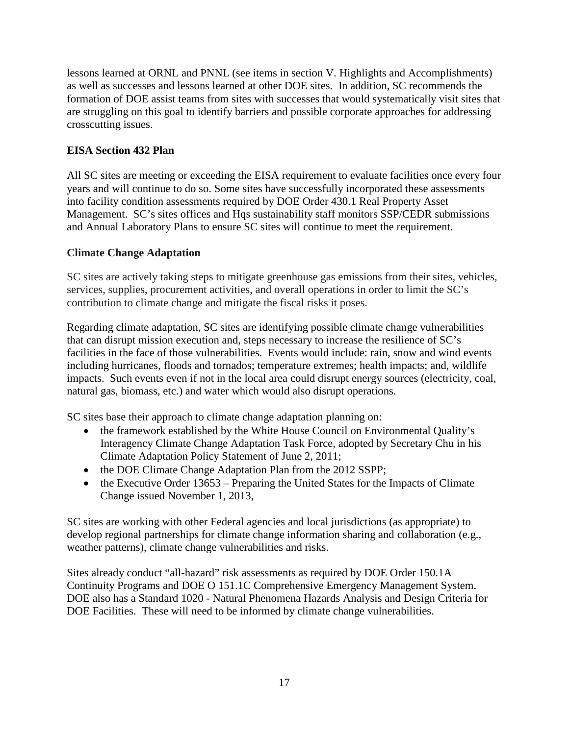lessons learned at ORNL and PNNL (see items in section V. Highlights and Accomplishments) as well as successes and lessons learned at other DOE sites. In addition, SC recommends the formation of DOE assist teams from sites with successes that would systematically visit sites that are struggling on this goal to identify barriers and possible corporate approaches for addressing crosscutting issues.

# **EISA Section 432 Plan**

All SC sites are meeting or exceeding the EISA requirement to evaluate facilities once every four years and will continue to do so. Some sites have successfully incorporated these assessments into facility condition assessments required by DOE Order 430.1 Real Property Asset Management. SC's sites offices and Hqs sustainability staff monitors SSP/CEDR submissions and Annual Laboratory Plans to ensure SC sites will continue to meet the requirement.

# **Climate Change Adaptation**

SC sites are actively taking steps to mitigate greenhouse gas emissions from their sites, vehicles, services, supplies, procurement activities, and overall operations in order to limit the SC's contribution to climate change and mitigate the fiscal risks it poses.

Regarding climate adaptation, SC sites are identifying possible climate change vulnerabilities that can disrupt mission execution and, steps necessary to increase the resilience of SC's facilities in the face of those vulnerabilities. Events would include: rain, snow and wind events including hurricanes, floods and tornados; temperature extremes; health impacts; and, wildlife impacts. Such events even if not in the local area could disrupt energy sources (electricity, coal, natural gas, biomass, etc.) and water which would also disrupt operations.

SC sites base their approach to climate change adaptation planning on:

- the framework established by the White House Council on Environmental Quality's Interagency Climate Change Adaptation Task Force, adopted by Secretary Chu in his Climate Adaptation Policy Statement of June 2, 2011;
- the DOE Climate Change Adaptation Plan from the 2012 SSPP;
- the Executive Order 13653 Preparing the United States for the Impacts of Climate Change issued November 1, 2013,

SC sites are working with other Federal agencies and local jurisdictions (as appropriate) to develop regional partnerships for climate change information sharing and collaboration (e.g., weather patterns), climate change vulnerabilities and risks.

Sites already conduct "all-hazard" risk assessments as required by DOE Order 150.1A Continuity Programs and DOE O 151.1C Comprehensive Emergency Management System. DOE also has a Standard 1020 - Natural Phenomena Hazards Analysis and Design Criteria for DOE Facilities. These will need to be informed by climate change vulnerabilities.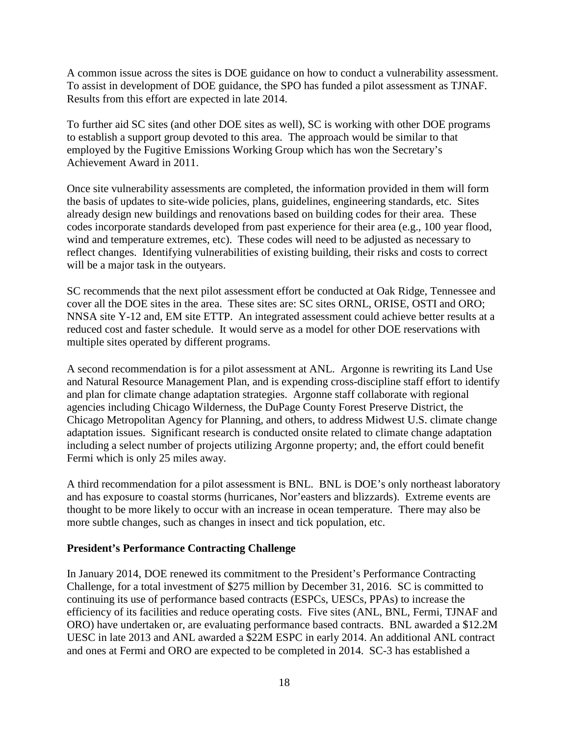A common issue across the sites is DOE guidance on how to conduct a vulnerability assessment. To assist in development of DOE guidance, the SPO has funded a pilot assessment as TJNAF. Results from this effort are expected in late 2014.

To further aid SC sites (and other DOE sites as well), SC is working with other DOE programs to establish a support group devoted to this area. The approach would be similar to that employed by the Fugitive Emissions Working Group which has won the Secretary's Achievement Award in 2011.

Once site vulnerability assessments are completed, the information provided in them will form the basis of updates to site-wide policies, plans, guidelines, engineering standards, etc. Sites already design new buildings and renovations based on building codes for their area. These codes incorporate standards developed from past experience for their area (e.g., 100 year flood, wind and temperature extremes, etc). These codes will need to be adjusted as necessary to reflect changes. Identifying vulnerabilities of existing building, their risks and costs to correct will be a major task in the outyears.

SC recommends that the next pilot assessment effort be conducted at Oak Ridge, Tennessee and cover all the DOE sites in the area. These sites are: SC sites ORNL, ORISE, OSTI and ORO; NNSA site Y-12 and, EM site ETTP. An integrated assessment could achieve better results at a reduced cost and faster schedule. It would serve as a model for other DOE reservations with multiple sites operated by different programs.

A second recommendation is for a pilot assessment at ANL. Argonne is rewriting its Land Use and Natural Resource Management Plan, and is expending cross-discipline staff effort to identify and plan for climate change adaptation strategies. Argonne staff collaborate with regional agencies including Chicago Wilderness, the DuPage County Forest Preserve District, the Chicago Metropolitan Agency for Planning, and others, to address Midwest U.S. climate change adaptation issues. Significant research is conducted onsite related to climate change adaptation including a select number of projects utilizing Argonne property; and, the effort could benefit Fermi which is only 25 miles away.

A third recommendation for a pilot assessment is BNL. BNL is DOE's only northeast laboratory and has exposure to coastal storms (hurricanes, Nor'easters and blizzards). Extreme events are thought to be more likely to occur with an increase in ocean temperature. There may also be more subtle changes, such as changes in insect and tick population, etc.

#### **President's Performance Contracting Challenge**

In January 2014, DOE renewed its commitment to the President's Performance Contracting Challenge, for a total investment of \$275 million by December 31, 2016. SC is committed to continuing its use of performance based contracts (ESPCs, UESCs, PPAs) to increase the efficiency of its facilities and reduce operating costs. Five sites (ANL, BNL, Fermi, TJNAF and ORO) have undertaken or, are evaluating performance based contracts. BNL awarded a \$12.2M UESC in late 2013 and ANL awarded a \$22M ESPC in early 2014. An additional ANL contract and ones at Fermi and ORO are expected to be completed in 2014. SC-3 has established a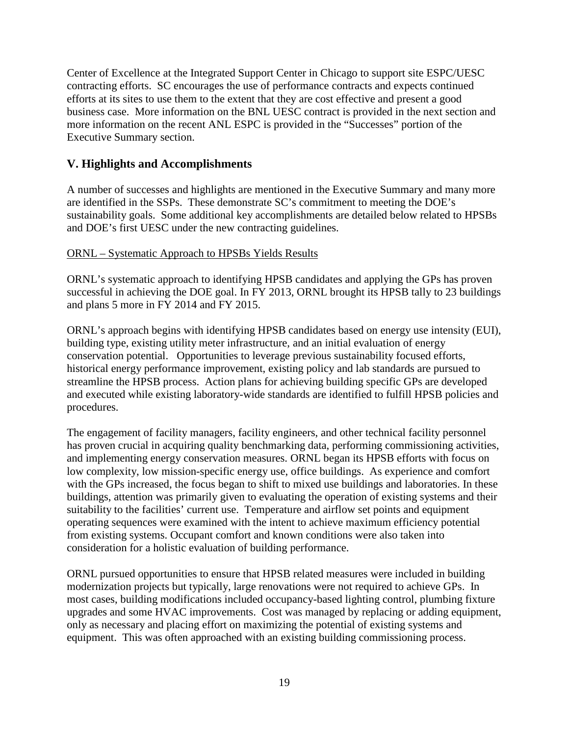Center of Excellence at the Integrated Support Center in Chicago to support site ESPC/UESC contracting efforts. SC encourages the use of performance contracts and expects continued efforts at its sites to use them to the extent that they are cost effective and present a good business case. More information on the BNL UESC contract is provided in the next section and more information on the recent ANL ESPC is provided in the "Successes" portion of the Executive Summary section.

# **V. Highlights and Accomplishments**

A number of successes and highlights are mentioned in the Executive Summary and many more are identified in the SSPs. These demonstrate SC's commitment to meeting the DOE's sustainability goals. Some additional key accomplishments are detailed below related to HPSBs and DOE's first UESC under the new contracting guidelines.

#### ORNL – Systematic Approach to HPSBs Yields Results

ORNL's systematic approach to identifying HPSB candidates and applying the GPs has proven successful in achieving the DOE goal. In FY 2013, ORNL brought its HPSB tally to 23 buildings and plans 5 more in FY 2014 and FY 2015.

ORNL's approach begins with identifying HPSB candidates based on energy use intensity (EUI), building type, existing utility meter infrastructure, and an initial evaluation of energy conservation potential. Opportunities to leverage previous sustainability focused efforts, historical energy performance improvement, existing policy and lab standards are pursued to streamline the HPSB process. Action plans for achieving building specific GPs are developed and executed while existing laboratory-wide standards are identified to fulfill HPSB policies and procedures.

The engagement of facility managers, facility engineers, and other technical facility personnel has proven crucial in acquiring quality benchmarking data, performing commissioning activities, and implementing energy conservation measures. ORNL began its HPSB efforts with focus on low complexity, low mission-specific energy use, office buildings. As experience and comfort with the GPs increased, the focus began to shift to mixed use buildings and laboratories. In these buildings, attention was primarily given to evaluating the operation of existing systems and their suitability to the facilities' current use. Temperature and airflow set points and equipment operating sequences were examined with the intent to achieve maximum efficiency potential from existing systems. Occupant comfort and known conditions were also taken into consideration for a holistic evaluation of building performance.

ORNL pursued opportunities to ensure that HPSB related measures were included in building modernization projects but typically, large renovations were not required to achieve GPs. In most cases, building modifications included occupancy-based lighting control, plumbing fixture upgrades and some HVAC improvements. Cost was managed by replacing or adding equipment, only as necessary and placing effort on maximizing the potential of existing systems and equipment. This was often approached with an existing building commissioning process.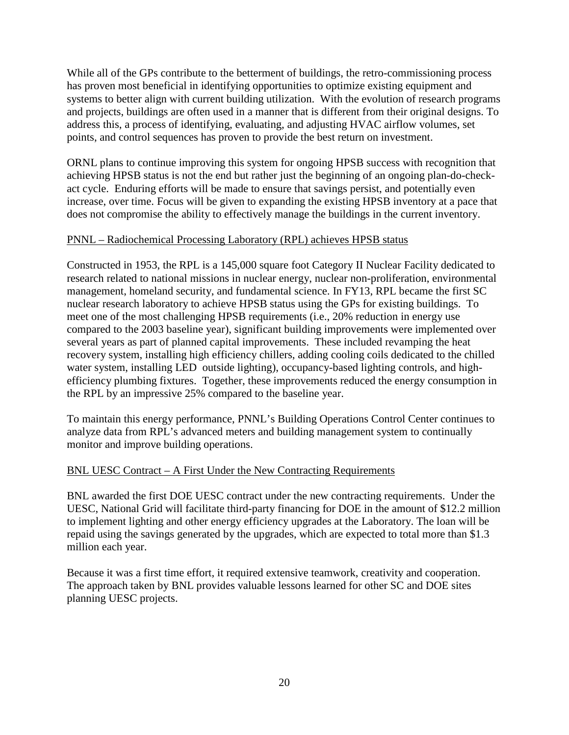While all of the GPs contribute to the betterment of buildings, the retro-commissioning process has proven most beneficial in identifying opportunities to optimize existing equipment and systems to better align with current building utilization. With the evolution of research programs and projects, buildings are often used in a manner that is different from their original designs. To address this, a process of identifying, evaluating, and adjusting HVAC airflow volumes, set points, and control sequences has proven to provide the best return on investment.

ORNL plans to continue improving this system for ongoing HPSB success with recognition that achieving HPSB status is not the end but rather just the beginning of an ongoing plan-do-checkact cycle. Enduring efforts will be made to ensure that savings persist, and potentially even increase, over time. Focus will be given to expanding the existing HPSB inventory at a pace that does not compromise the ability to effectively manage the buildings in the current inventory.

# PNNL – Radiochemical Processing Laboratory (RPL) achieves HPSB status

Constructed in 1953, the RPL is a 145,000 square foot Category II Nuclear Facility dedicated to research related to national missions in nuclear energy, nuclear non-proliferation, environmental management, homeland security, and fundamental science. In FY13, RPL became the first SC nuclear research laboratory to achieve HPSB status using the GPs for existing buildings. To meet one of the most challenging HPSB requirements (i.e., 20% reduction in energy use compared to the 2003 baseline year), significant building improvements were implemented over several years as part of planned capital improvements. These included revamping the heat recovery system, installing high efficiency chillers, adding cooling coils dedicated to the chilled water system, installing LED outside lighting), occupancy-based lighting controls, and highefficiency plumbing fixtures. Together, these improvements reduced the energy consumption in the RPL by an impressive 25% compared to the baseline year.

To maintain this energy performance, PNNL's Building Operations Control Center continues to analyze data from RPL's advanced meters and building management system to continually monitor and improve building operations.

# BNL UESC Contract – A First Under the New Contracting Requirements

BNL awarded the first DOE UESC contract under the new contracting requirements. Under the UESC, National Grid will facilitate third-party financing for DOE in the amount of \$12.2 million to implement lighting and other energy efficiency upgrades at the Laboratory. The loan will be repaid using the savings generated by the upgrades, which are expected to total more than \$1.3 million each year.

Because it was a first time effort, it required extensive teamwork, creativity and cooperation. The approach taken by BNL provides valuable lessons learned for other SC and DOE sites planning UESC projects.